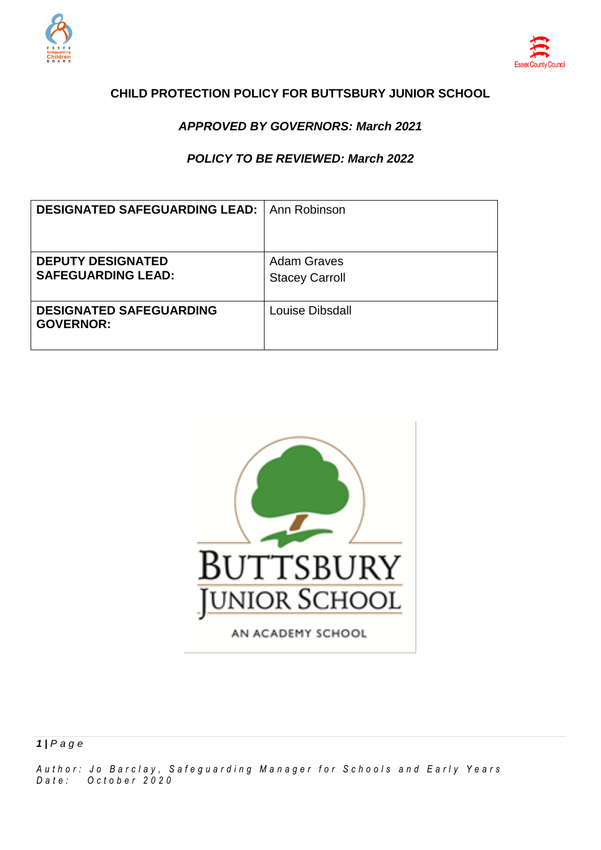



### **CHILD PROTECTION POLICY FOR BUTTSBURY JUNIOR SCHOOL**

### *APPROVED BY GOVERNORS: March 2021*

### *POLICY TO BE REVIEWED: March 2022*

| <b>DESIGNATED SAFEGUARDING LEAD:   Ann Robinson</b>   |                                             |
|-------------------------------------------------------|---------------------------------------------|
| <b>DEPUTY DESIGNATED</b><br><b>SAFEGUARDING LEAD:</b> | <b>Adam Graves</b><br><b>Stacey Carroll</b> |
| <b>DESIGNATED SAFEGUARDING</b><br><b>GOVERNOR:</b>    | Louise Dibsdall                             |



AN ACADEMY SCHOOL

*A u t h o r : J o B a r c l a y , S a f e g u a r d i n g M a n a g e r f o r S c h o o l s a n d E a r l y Y e a r s D a t e : O c t o b e r 2 0 2 0*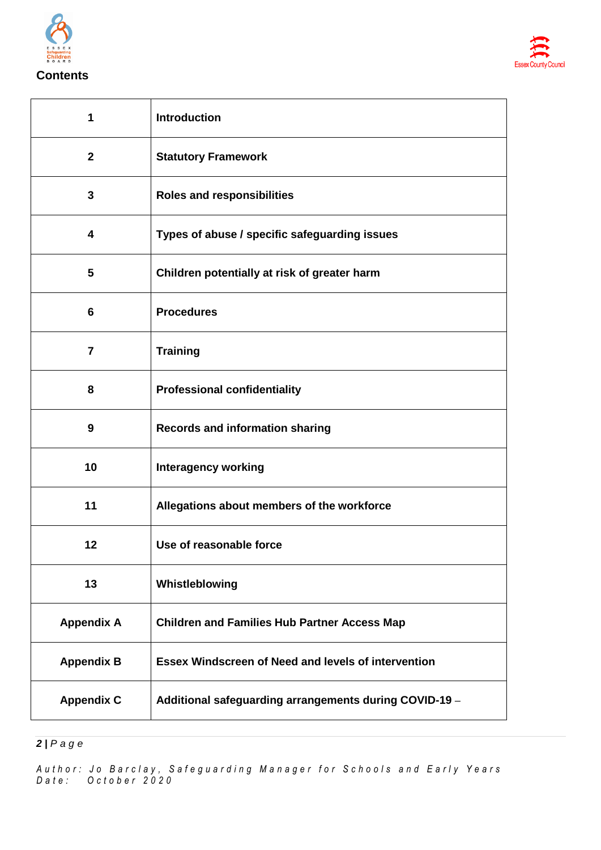



| 1                       | Introduction                                               |
|-------------------------|------------------------------------------------------------|
| $\mathbf{2}$            | <b>Statutory Framework</b>                                 |
| 3                       | <b>Roles and responsibilities</b>                          |
| 4                       | Types of abuse / specific safeguarding issues              |
| $\overline{\mathbf{5}}$ | Children potentially at risk of greater harm               |
| 6                       | <b>Procedures</b>                                          |
| $\overline{7}$          | <b>Training</b>                                            |
| 8                       | <b>Professional confidentiality</b>                        |
| 9                       | <b>Records and information sharing</b>                     |
| 10                      | <b>Interagency working</b>                                 |
| 11                      | Allegations about members of the workforce                 |
| 12                      | Use of reasonable force                                    |
| 13                      | Whistleblowing                                             |
| <b>Appendix A</b>       | <b>Children and Families Hub Partner Access Map</b>        |
| <b>Appendix B</b>       | <b>Essex Windscreen of Need and levels of intervention</b> |
| <b>Appendix C</b>       | Additional safeguarding arrangements during COVID-19 -     |

*| P a g e*

*A u t h o r : J o B a r c l a y , S a f e g u a r d i n g M a n a g e r f o r S c h o o l s a n d E a r l y Y e a r s D a t e : O c t o b e r 2 0 2 0*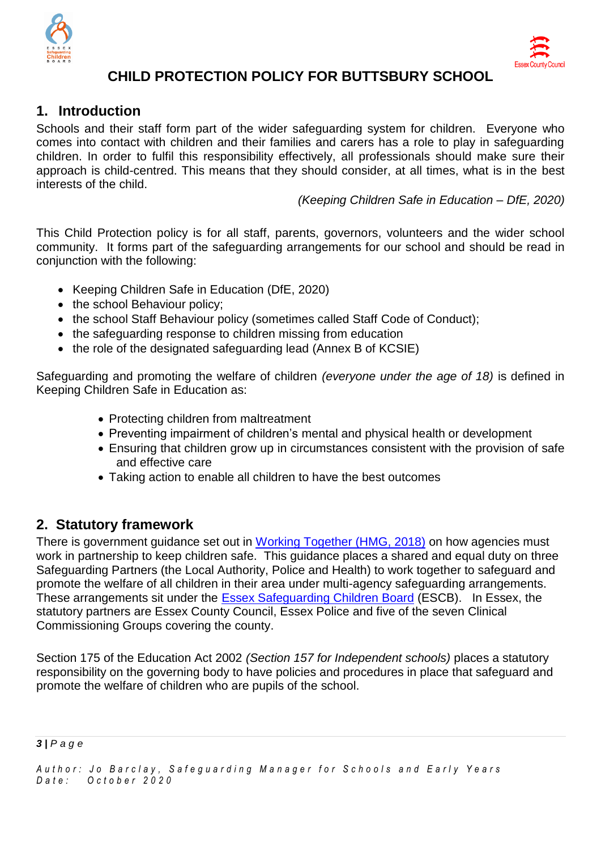



# **CHILD PROTECTION POLICY FOR BUTTSBURY SCHOOL**

# **1. Introduction**

Schools and their staff form part of the wider safeguarding system for children. Everyone who comes into contact with children and their families and carers has a role to play in safeguarding children. In order to fulfil this responsibility effectively, all professionals should make sure their approach is child-centred. This means that they should consider, at all times, what is in the best interests of the child.

*(Keeping Children Safe in Education – DfE, 2020)*

This Child Protection policy is for all staff, parents, governors, volunteers and the wider school community. It forms part of the safeguarding arrangements for our school and should be read in conjunction with the following:

- Keeping Children Safe in Education (DfE, 2020)
- the school Behaviour policy:
- the school Staff Behaviour policy (sometimes called Staff Code of Conduct);
- the safeguarding response to children missing from education
- the role of the designated safeguarding lead (Annex B of KCSIE)

Safeguarding and promoting the welfare of children *(everyone under the age of 18)* is defined in Keeping Children Safe in Education as:

- Protecting children from maltreatment
- Preventing impairment of children's mental and physical health or development
- Ensuring that children grow up in circumstances consistent with the provision of safe and effective care
- Taking action to enable all children to have the best outcomes

# **2. Statutory framework**

There is government guidance set out in [Working Together \(HMG, 2018\)](https://assets.publishing.service.gov.uk/government/uploads/system/uploads/attachment_data/file/729914/Working_Together_to_Safeguard_Children-2018.pdf) on how agencies must work in partnership to keep children safe. This guidance places a shared and equal duty on three Safeguarding Partners (the Local Authority, Police and Health) to work together to safeguard and promote the welfare of all children in their area under multi-agency safeguarding arrangements. These arrangements sit under the [Essex Safeguarding Children Board](http://www.escb.co.uk/Home.aspx) (ESCB). In Essex, the statutory partners are Essex County Council, Essex Police and five of the seven Clinical Commissioning Groups covering the county.

Section 175 of the Education Act 2002 *(Section 157 for Independent schools)* places a statutory responsibility on the governing body to have policies and procedures in place that safeguard and promote the welfare of children who are pupils of the school.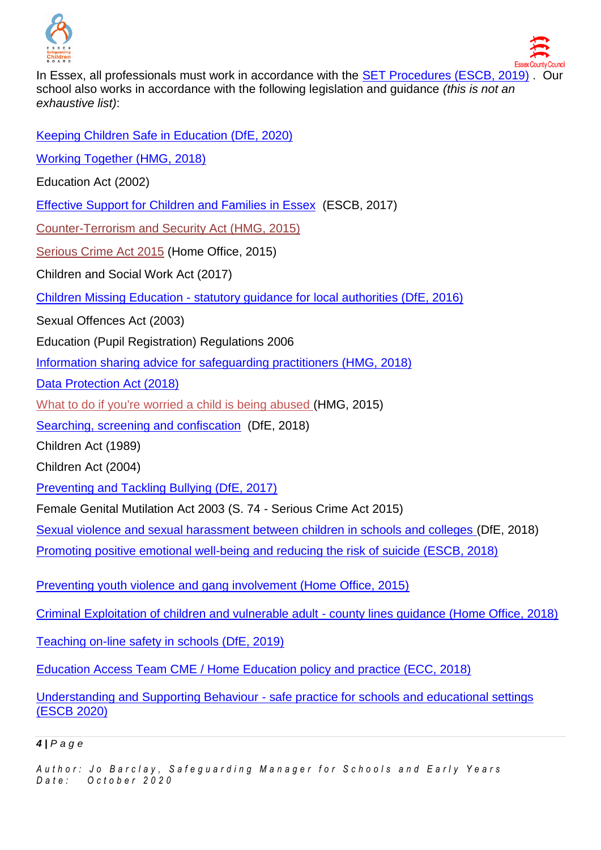

In Essex, all professionals must work in accordance with the **SET Procedures (ESCB, 2019)**. Our school also works in accordance with the following legislation and guidance *(this is not an exhaustive list)*:

[Keeping Children Safe in Education \(DfE, 2020\)](https://assets.publishing.service.gov.uk/government/uploads/system/uploads/attachment_data/file/892394/Keeping_children_safe_in_education_2020.pdf)

[Working Together \(HMG, 2018\)](https://assets.publishing.service.gov.uk/government/uploads/system/uploads/attachment_data/file/729914/Working_Together_to_Safeguard_Children-2018.pdf)

Education Act (2002)

[Effective Support for Children and Families in Essex](http://www.escb.co.uk/Portals/67/Documents/professionals/EffectiveSupportBooklet2017v5-FINAL.pdf) (ESCB, 2017)

[Counter-Terrorism and Security Act \(HMG, 2015\)](http://www.legislation.gov.uk/ukpga/2015/6/contents)

[Serious Crime Act 2015](https://www.gov.uk/government/collections/serious-crime-bill) (Home Office, 2015)

Children and Social Work Act (2017)

Children Missing Education - [statutory guidance for local authorities \(DfE, 2016\)](https://assets.publishing.service.gov.uk/government/uploads/system/uploads/attachment_data/file/550416/Children_Missing_Education_-_statutory_guidance.pdf)

Sexual Offences Act (2003)

Education (Pupil Registration) Regulations 2006

[Information sharing advice for safeguarding practitioners \(HMG, 2018\)](https://assets.publishing.service.gov.uk/government/uploads/system/uploads/attachment_data/file/721581/Information_sharing_advice_practitioners_safeguarding_services.pdf)

[Data Protection Act \(2018\)](http://www.legislation.gov.uk/ukpga/2018/12/pdfs/ukpga_20180012_en.pdf)

[What to do if you're worried a child is being abused \(](https://www.gov.uk/government/uploads/system/uploads/attachment_data/file/419604/What_to_do_if_you_re_worried_a_child_is_being_abused.pdf)HMG, 2015)

[Searching, screening and confiscation](https://assets.publishing.service.gov.uk/government/uploads/system/uploads/attachment_data/file/674416/Searching_screening_and_confiscation.pdf) (DfE, 2018)

Children Act (1989)

Children Act (2004)

[Preventing and Tackling Bullying \(DfE, 2017\)](https://www.gov.uk/government/uploads/system/uploads/attachment_data/file/623895/Preventing_and_tackling_bullying_advice.pdf)

Female Genital Mutilation Act 2003 (S. 74 - Serious Crime Act 2015)

[Sexual violence and sexual harassment between children in schools and colleges \(](https://www.gov.uk/government/uploads/system/uploads/attachment_data/file/667862/Sexual_Harassment_and_Sexual_Violence_-_Advice.pdf)DfE, 2018)

[Promoting positive emotional well-being and reducing the risk of suicide \(ESCB, 2018\)](https://schools.essex.gov.uk/pupils/Safeguarding/Emotional_Wellbeing_and_Mental_Health/Documents/Promoting%20Positive%20Emotional%20Well-being%20and%20Reducing%20the%20Risk%20of%20Suicide%20-%20Autumn%202018.pdf)

[Preventing youth violence and gang involvement \(Home Office, 2015\)](https://assets.publishing.service.gov.uk/government/uploads/system/uploads/attachment_data/file/418131/Preventing_youth_violence_and_gang_involvement_v3_March2015.pdf)

[Criminal Exploitation of children and vulnerable adult -](https://assets.publishing.service.gov.uk/government/uploads/system/uploads/attachment_data/file/741194/HOCountyLinesGuidanceSept2018.pdf) county lines guidance (Home Office, 2018)

[Teaching on-line safety in schools \(DfE, 2019\)](https://assets.publishing.service.gov.uk/government/uploads/system/uploads/attachment_data/file/811796/Teaching_online_safety_in_school.pdf)

[Education Access Team CME / Home Education policy and practice \(ECC, 2018\)](https://schools.essex.gov.uk/pupils/Education_Access/Documents/Education%20Access%20-%20CME%20and%20EHE%20Team%20-%20Policy%20and%20Practice%20Guidance%20document.pdf)

Understanding and Supporting Behaviour - [safe practice for schools and educational settings](https://schools.essex.gov.uk/pupils/Safeguarding/Documents/Understanding%20and%20Supporting%20Behaviour%20-%20Safe%20Practice%20for%20Schools%20-%20Summer%202020.pdf)  [\(ESCB 2020\)](https://schools.essex.gov.uk/pupils/Safeguarding/Documents/Understanding%20and%20Supporting%20Behaviour%20-%20Safe%20Practice%20for%20Schools%20-%20Summer%202020.pdf)

#### *4 | P a g e*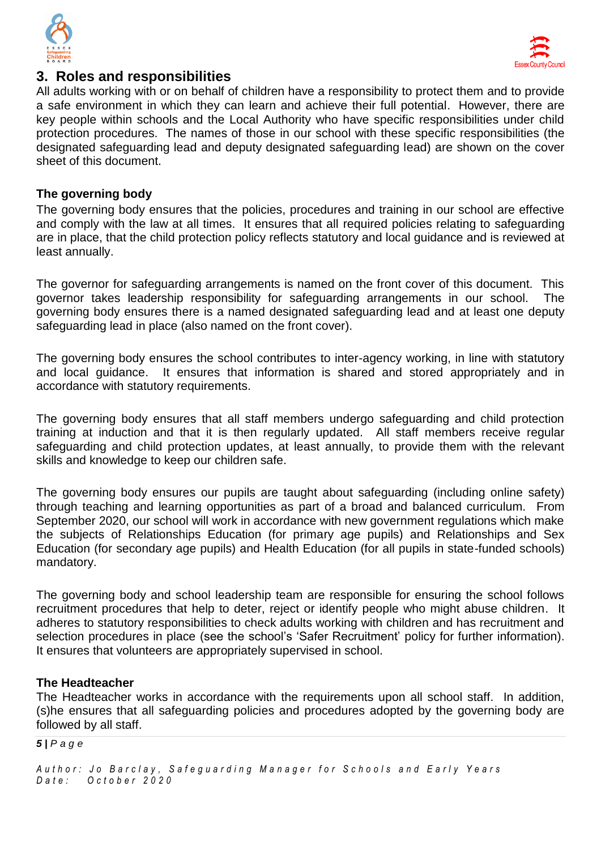



# **3. Roles and responsibilities**

All adults working with or on behalf of children have a responsibility to protect them and to provide a safe environment in which they can learn and achieve their full potential. However, there are key people within schools and the Local Authority who have specific responsibilities under child protection procedures. The names of those in our school with these specific responsibilities (the designated safeguarding lead and deputy designated safeguarding lead) are shown on the cover sheet of this document.

### **The governing body**

The governing body ensures that the policies, procedures and training in our school are effective and comply with the law at all times. It ensures that all required policies relating to safeguarding are in place, that the child protection policy reflects statutory and local guidance and is reviewed at least annually.

The governor for safeguarding arrangements is named on the front cover of this document. This governor takes leadership responsibility for safeguarding arrangements in our school. The governing body ensures there is a named designated safeguarding lead and at least one deputy safeguarding lead in place (also named on the front cover).

The governing body ensures the school contributes to inter-agency working, in line with statutory and local guidance. It ensures that information is shared and stored appropriately and in accordance with statutory requirements.

The governing body ensures that all staff members undergo safeguarding and child protection training at induction and that it is then regularly updated. All staff members receive regular safeguarding and child protection updates, at least annually, to provide them with the relevant skills and knowledge to keep our children safe.

The governing body ensures our pupils are taught about safeguarding (including online safety) through teaching and learning opportunities as part of a broad and balanced curriculum. From September 2020, our school will work in accordance with new government regulations which make the subjects of Relationships Education (for primary age pupils) and Relationships and Sex Education (for secondary age pupils) and Health Education (for all pupils in state-funded schools) mandatory.

The governing body and school leadership team are responsible for ensuring the school follows recruitment procedures that help to deter, reject or identify people who might abuse children. It adheres to statutory responsibilities to check adults working with children and has recruitment and selection procedures in place (see the school's 'Safer Recruitment' policy for further information). It ensures that volunteers are appropriately supervised in school.

#### **The Headteacher**

The Headteacher works in accordance with the requirements upon all school staff. In addition, (s)he ensures that all safeguarding policies and procedures adopted by the governing body are followed by all staff.

#### *5 | P a g e*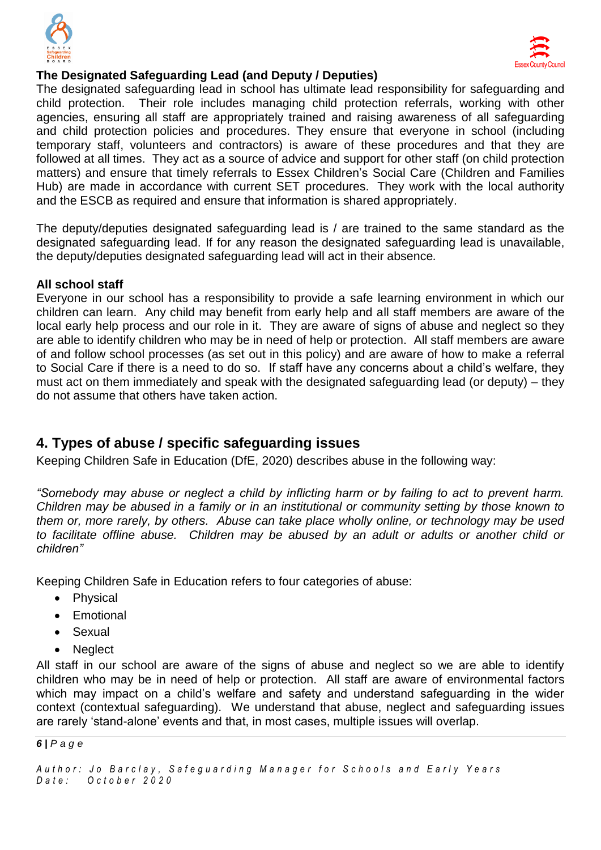



### **The Designated Safeguarding Lead (and Deputy / Deputies)**

The designated safeguarding lead in school has ultimate lead responsibility for safeguarding and child protection. Their role includes managing child protection referrals, working with other agencies, ensuring all staff are appropriately trained and raising awareness of all safeguarding and child protection policies and procedures. They ensure that everyone in school (including temporary staff, volunteers and contractors) is aware of these procedures and that they are followed at all times. They act as a source of advice and support for other staff (on child protection matters) and ensure that timely referrals to Essex Children's Social Care (Children and Families Hub) are made in accordance with current SET procedures. They work with the local authority and the ESCB as required and ensure that information is shared appropriately.

The deputy/deputies designated safeguarding lead is / are trained to the same standard as the designated safeguarding lead. If for any reason the designated safeguarding lead is unavailable, the deputy/deputies designated safeguarding lead will act in their absence*.* 

#### **All school staff**

Everyone in our school has a responsibility to provide a safe learning environment in which our children can learn. Any child may benefit from early help and all staff members are aware of the local early help process and our role in it. They are aware of signs of abuse and neglect so they are able to identify children who may be in need of help or protection. All staff members are aware of and follow school processes (as set out in this policy) and are aware of how to make a referral to Social Care if there is a need to do so. If staff have any concerns about a child's welfare, they must act on them immediately and speak with the designated safeguarding lead (or deputy) – they do not assume that others have taken action.

# **4. Types of abuse / specific safeguarding issues**

Keeping Children Safe in Education (DfE, 2020) describes abuse in the following way:

*"Somebody may abuse or neglect a child by inflicting harm or by failing to act to prevent harm. Children may be abused in a family or in an institutional or community setting by those known to them or, more rarely, by others. Abuse can take place wholly online, or technology may be used to facilitate offline abuse. Children may be abused by an adult or adults or another child or children"*

Keeping Children Safe in Education refers to four categories of abuse:

- Physical
- **•** Emotional
- Sexual
- Neglect

All staff in our school are aware of the signs of abuse and neglect so we are able to identify children who may be in need of help or protection. All staff are aware of environmental factors which may impact on a child's welfare and safety and understand safeguarding in the wider context (contextual safeguarding). We understand that abuse, neglect and safeguarding issues are rarely 'stand-alone' events and that, in most cases, multiple issues will overlap.

#### *6 | P a g e*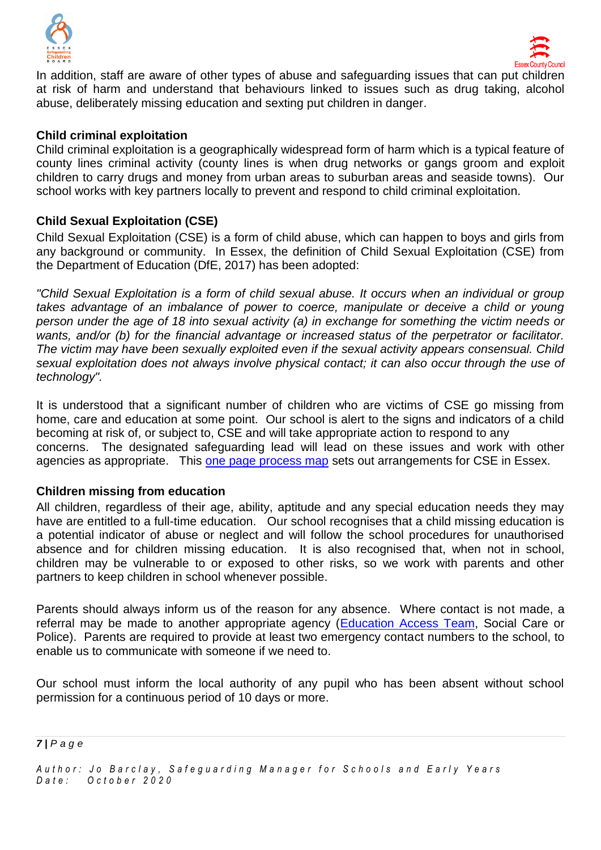



In addition, staff are aware of other types of abuse and safeguarding issues that can put children at risk of harm and understand that behaviours linked to issues such as drug taking, alcohol abuse, deliberately missing education and sexting put children in danger.

#### **Child criminal exploitation**

Child criminal exploitation is a geographically widespread form of harm which is a typical feature of county lines criminal activity (county lines is when drug networks or gangs groom and exploit children to carry drugs and money from urban areas to suburban areas and seaside towns). Our school works with key partners locally to prevent and respond to child criminal exploitation.

### **Child Sexual Exploitation (CSE)**

Child Sexual Exploitation (CSE) is a form of child abuse, which can happen to boys and girls from any background or community. In Essex, the definition of Child Sexual Exploitation (CSE) from the Department of Education (DfE, 2017) has been adopted:

*"Child Sexual Exploitation is a form of child sexual abuse. It occurs when an individual or group*  takes advantage of an imbalance of power to coerce, manipulate or deceive a child or young *person under the age of 18 into sexual activity (a) in exchange for something the victim needs or wants, and/or (b) for the financial advantage or increased status of the perpetrator or facilitator. The victim may have been sexually exploited even if the sexual activity appears consensual. Child sexual exploitation does not always involve physical contact; it can also occur through the use of technology".*

It is understood that a significant number of children who are victims of CSE go missing from home, care and education at some point. Our school is alert to the signs and indicators of a child becoming at risk of, or subject to, CSE and will take appropriate action to respond to any concerns. The designated safeguarding lead will lead on these issues and work with other agencies as appropriate. This [one page process map](http://www.escb.co.uk/Portals/67/Documents/CSE/CSE%201%20pager%20(April%2018).pdf) sets out arrangements for CSE in Essex.

#### **Children missing from education**

All children, regardless of their age, ability, aptitude and any special education needs they may have are entitled to a full-time education. Our school recognises that a child missing education is a potential indicator of abuse or neglect and will follow the school procedures for unauthorised absence and for children missing education. It is also recognised that, when not in school, children may be vulnerable to or exposed to other risks, so we work with parents and other partners to keep children in school whenever possible.

Parents should always inform us of the reason for any absence. Where contact is not made, a referral may be made to another appropriate agency [\(Education Access Team,](https://schools.essex.gov.uk/pupils/Education_Access/Pages/default.aspx) Social Care or Police). Parents are required to provide at least two emergency contact numbers to the school, to enable us to communicate with someone if we need to.

Our school must inform the local authority of any pupil who has been absent without school permission for a continuous period of 10 days or more.

*7 | P a g e*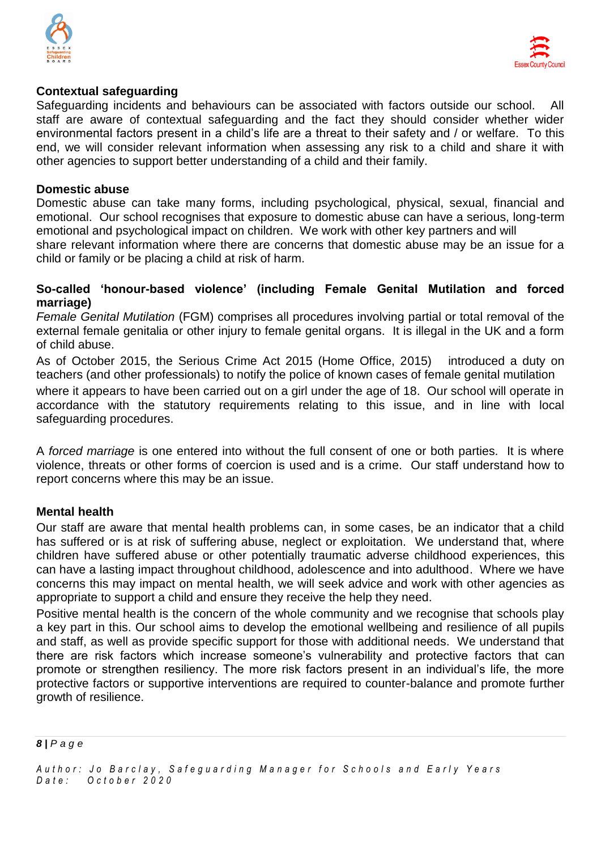



#### **Contextual safeguarding**

Safeguarding incidents and behaviours can be associated with factors outside our school. All staff are aware of contextual safeguarding and the fact they should consider whether wider environmental factors present in a child's life are a threat to their safety and / or welfare. To this end, we will consider relevant information when assessing any risk to a child and share it with other agencies to support better understanding of a child and their family.

#### **Domestic abuse**

Domestic abuse can take many forms, including psychological, physical, sexual, financial and emotional. Our school recognises that exposure to domestic abuse can have a serious, long-term emotional and psychological impact on children. We work with other key partners and will

share relevant information where there are concerns that domestic abuse may be an issue for a child or family or be placing a child at risk of harm.

#### **So-called 'honour-based violence' (including Female Genital Mutilation and forced marriage)**

*Female Genital Mutilation* (FGM) comprises all procedures involving partial or total removal of the external female genitalia or other injury to female genital organs. It is illegal in the UK and a form of child abuse.

As of October 2015, the Serious Crime Act 2015 (Home Office, 2015) introduced a duty on teachers (and other professionals) to notify the police of known cases of female genital mutilation where it appears to have been carried out on a girl under the age of 18. Our school will operate in accordance with the statutory requirements relating to this issue, and in line with local safeguarding procedures.

A *forced marriage* is one entered into without the full consent of one or both parties. It is where violence, threats or other forms of coercion is used and is a crime. Our staff understand how to report concerns where this may be an issue.

#### **Mental health**

Our staff are aware that mental health problems can, in some cases, be an indicator that a child has suffered or is at risk of suffering abuse, neglect or exploitation. We understand that, where children have suffered abuse or other potentially traumatic adverse childhood experiences, this can have a lasting impact throughout childhood, adolescence and into adulthood. Where we have concerns this may impact on mental health, we will seek advice and work with other agencies as appropriate to support a child and ensure they receive the help they need.

Positive mental health is the concern of the whole community and we recognise that schools play a key part in this. Our school aims to develop the emotional wellbeing and resilience of all pupils and staff, as well as provide specific support for those with additional needs. We understand that there are risk factors which increase someone's vulnerability and protective factors that can promote or strengthen resiliency. The more risk factors present in an individual's life, the more protective factors or supportive interventions are required to counter-balance and promote further growth of resilience.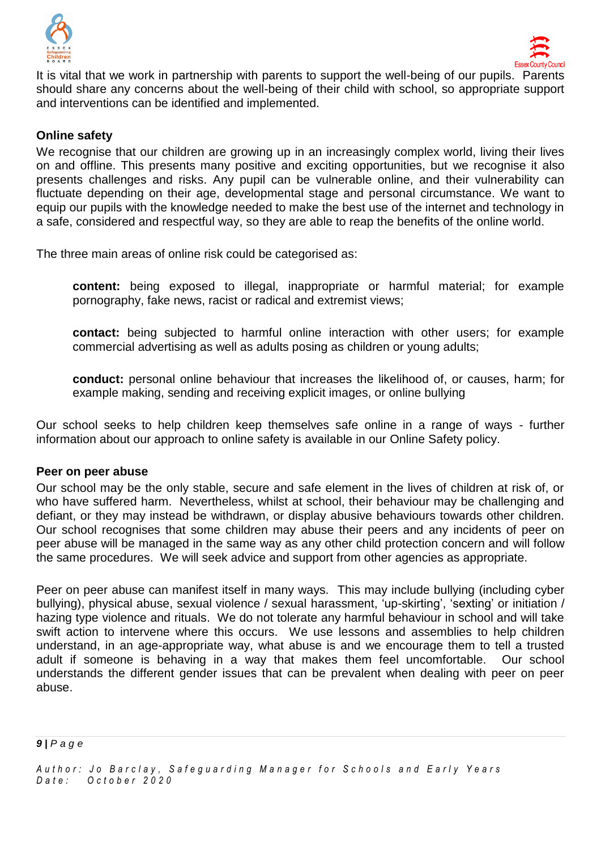



It is vital that we work in partnership with parents to support the well-being of our pupils. Parents should share any concerns about the well-being of their child with school, so appropriate support and interventions can be identified and implemented.

### **Online safety**

We recognise that our children are growing up in an increasingly complex world, living their lives on and offline. This presents many positive and exciting opportunities, but we recognise it also presents challenges and risks. Any pupil can be vulnerable online, and their vulnerability can fluctuate depending on their age, developmental stage and personal circumstance. We want to equip our pupils with the knowledge needed to make the best use of the internet and technology in a safe, considered and respectful way, so they are able to reap the benefits of the online world.

The three main areas of online risk could be categorised as:

**content:** being exposed to illegal, inappropriate or harmful material; for example pornography, fake news, racist or radical and extremist views;

**contact:** being subjected to harmful online interaction with other users; for example commercial advertising as well as adults posing as children or young adults;

**conduct:** personal online behaviour that increases the likelihood of, or causes, harm; for example making, sending and receiving explicit images, or online bullying

Our school seeks to help children keep themselves safe online in a range of ways - further information about our approach to online safety is available in our Online Safety policy.

#### **Peer on peer abuse**

Our school may be the only stable, secure and safe element in the lives of children at risk of, or who have suffered harm. Nevertheless, whilst at school, their behaviour may be challenging and defiant, or they may instead be withdrawn, or display abusive behaviours towards other children. Our school recognises that some children may abuse their peers and any incidents of peer on peer abuse will be managed in the same way as any other child protection concern and will follow the same procedures. We will seek advice and support from other agencies as appropriate.

Peer on peer abuse can manifest itself in many ways. This may include bullying (including cyber bullying), physical abuse, sexual violence / sexual harassment, 'up-skirting', 'sexting' or initiation / hazing type violence and rituals. We do not tolerate any harmful behaviour in school and will take swift action to intervene where this occurs. We use lessons and assemblies to help children understand, in an age-appropriate way, what abuse is and we encourage them to tell a trusted adult if someone is behaving in a way that makes them feel uncomfortable. Our school understands the different gender issues that can be prevalent when dealing with peer on peer abuse.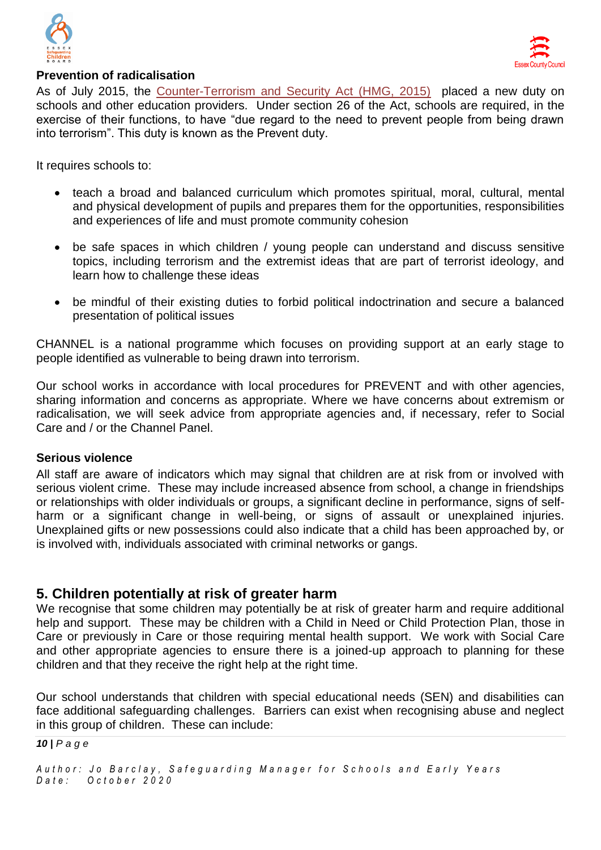



### **Prevention of radicalisation**

As of July 2015, the [Counter-Terrorism and Security Act \(HMG, 2015\)](http://www.legislation.gov.uk/ukpga/2015/6/contents) placed a new duty on schools and other education providers. Under section 26 of the Act, schools are required, in the exercise of their functions, to have "due regard to the need to prevent people from being drawn into terrorism". This duty is known as the Prevent duty.

It requires schools to:

- teach a broad and balanced curriculum which promotes spiritual, moral, cultural, mental and physical development of pupils and prepares them for the opportunities, responsibilities and experiences of life and must promote community cohesion
- be safe spaces in which children / young people can understand and discuss sensitive topics, including terrorism and the extremist ideas that are part of terrorist ideology, and learn how to challenge these ideas
- be mindful of their existing duties to forbid political indoctrination and secure a balanced presentation of political issues

CHANNEL is a national programme which focuses on providing support at an early stage to people identified as vulnerable to being drawn into terrorism.

Our school works in accordance with local procedures for PREVENT and with other agencies, sharing information and concerns as appropriate. Where we have concerns about extremism or radicalisation, we will seek advice from appropriate agencies and, if necessary, refer to Social Care and / or the Channel Panel.

#### **Serious violence**

All staff are aware of indicators which may signal that children are at risk from or involved with serious violent crime. These may include increased absence from school, a change in friendships or relationships with older individuals or groups, a significant decline in performance, signs of selfharm or a significant change in well-being, or signs of assault or unexplained injuries. Unexplained gifts or new possessions could also indicate that a child has been approached by, or is involved with, individuals associated with criminal networks or gangs.

### **5. Children potentially at risk of greater harm**

We recognise that some children may potentially be at risk of greater harm and require additional help and support. These may be children with a Child in Need or Child Protection Plan, those in Care or previously in Care or those requiring mental health support. We work with Social Care and other appropriate agencies to ensure there is a joined-up approach to planning for these children and that they receive the right help at the right time.

Our school understands that children with special educational needs (SEN) and disabilities can face additional safeguarding challenges. Barriers can exist when recognising abuse and neglect in this group of children. These can include:

*10 | P a g e*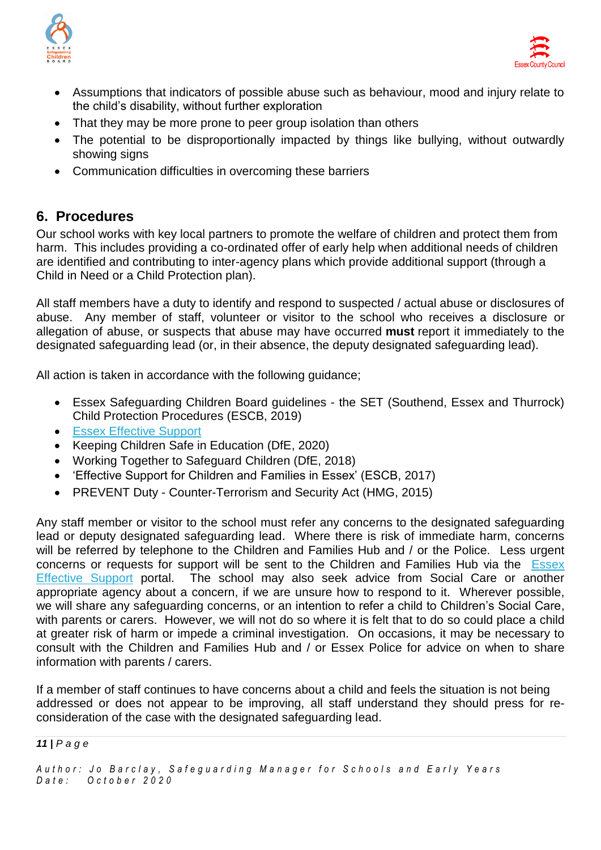



- Assumptions that indicators of possible abuse such as behaviour, mood and injury relate to the child's disability, without further exploration
- That they may be more prone to peer group isolation than others
- The potential to be disproportionally impacted by things like bullying, without outwardly showing signs
- Communication difficulties in overcoming these barriers

# **6. Procedures**

Our school works with key local partners to promote the welfare of children and protect them from harm. This includes providing a co-ordinated offer of early help when additional needs of children are identified and contributing to inter-agency plans which provide additional support (through a Child in Need or a Child Protection plan).

All staff members have a duty to identify and respond to suspected / actual abuse or disclosures of abuse. Any member of staff, volunteer or visitor to the school who receives a disclosure or allegation of abuse, or suspects that abuse may have occurred **must** report it immediately to the designated safeguarding lead (or, in their absence, the deputy designated safeguarding lead).

All action is taken in accordance with the following guidance;

- Essex Safeguarding Children Board guidelines the SET (Southend, Essex and Thurrock) Child Protection Procedures (ESCB, 2019)
- **[Essex Effective Support](http://links.govdelivery.com/track?type=click&enid=ZWFzPTEmbWFpbGluZ2lkPTIwMTgwNDExLjg4MjIzMTExJm1lc3NhZ2VpZD1NREItUFJELUJVTC0yMDE4MDQxMS44ODIyMzExMSZkYXRhYmFzZWlkPTEwMDEmc2VyaWFsPTE3MzE0NjA5JmVtYWlsaWQ9am8uYmFyY2xheUBlc3NleC5nb3YudWsmdXNlcmlkPWpvLmJhcmNsYXlAZXNzZXguZ292LnVrJmZsPSZleHRyYT1NdWx0aXZhcmlhdGVJZD0mJiY=&&&100&&&https://www.essexeffectivesupport.org.uk/)**
- Keeping Children Safe in Education (DfE, 2020)
- Working Together to Safeguard Children (DfE, 2018)
- 'Effective Support for Children and Families in Essex' (ESCB, 2017)
- PREVENT Duty Counter-Terrorism and Security Act (HMG, 2015)

Any staff member or visitor to the school must refer any concerns to the designated safeguarding lead or deputy designated safeguarding lead. Where there is risk of immediate harm, concerns will be referred by telephone to the Children and Families Hub and / or the Police. Less urgent concerns or requests for support will be sent to the Children and Families Hub via the [Essex](http://links.govdelivery.com/track?type=click&enid=ZWFzPTEmbWFpbGluZ2lkPTIwMTgwNDExLjg4MjIzMTExJm1lc3NhZ2VpZD1NREItUFJELUJVTC0yMDE4MDQxMS44ODIyMzExMSZkYXRhYmFzZWlkPTEwMDEmc2VyaWFsPTE3MzE0NjA5JmVtYWlsaWQ9am8uYmFyY2xheUBlc3NleC5nb3YudWsmdXNlcmlkPWpvLmJhcmNsYXlAZXNzZXguZ292LnVrJmZsPSZleHRyYT1NdWx0aXZhcmlhdGVJZD0mJiY=&&&100&&&https://www.essexeffectivesupport.org.uk/)  [Effective Support](http://links.govdelivery.com/track?type=click&enid=ZWFzPTEmbWFpbGluZ2lkPTIwMTgwNDExLjg4MjIzMTExJm1lc3NhZ2VpZD1NREItUFJELUJVTC0yMDE4MDQxMS44ODIyMzExMSZkYXRhYmFzZWlkPTEwMDEmc2VyaWFsPTE3MzE0NjA5JmVtYWlsaWQ9am8uYmFyY2xheUBlc3NleC5nb3YudWsmdXNlcmlkPWpvLmJhcmNsYXlAZXNzZXguZ292LnVrJmZsPSZleHRyYT1NdWx0aXZhcmlhdGVJZD0mJiY=&&&100&&&https://www.essexeffectivesupport.org.uk/) portal. The school may also seek advice from Social Care or another appropriate agency about a concern, if we are unsure how to respond to it. Wherever possible, we will share any safeguarding concerns, or an intention to refer a child to Children's Social Care, with parents or carers. However, we will not do so where it is felt that to do so could place a child at greater risk of harm or impede a criminal investigation. On occasions, it may be necessary to consult with the Children and Families Hub and / or Essex Police for advice on when to share information with parents / carers.

If a member of staff continues to have concerns about a child and feels the situation is not being addressed or does not appear to be improving, all staff understand they should press for reconsideration of the case with the designated safeguarding lead.

*11 | P a g e*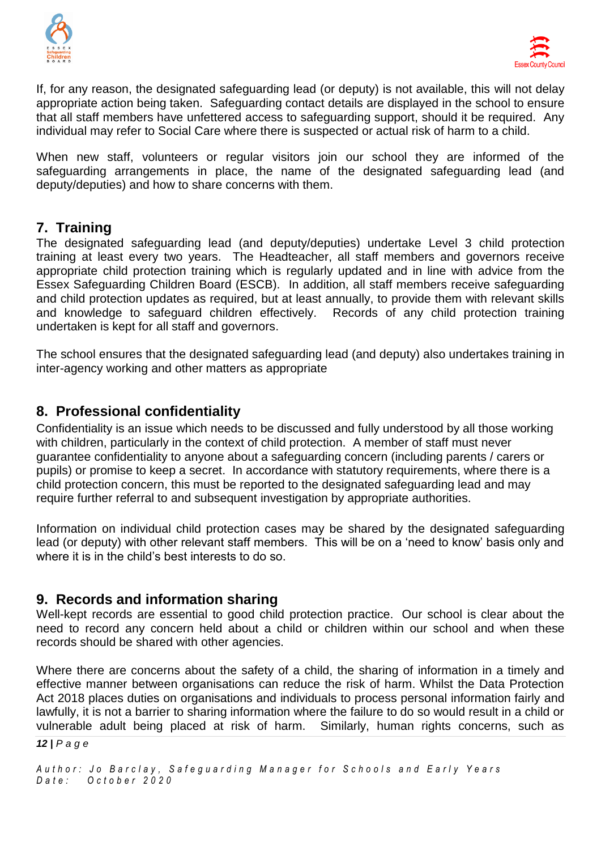



If, for any reason, the designated safeguarding lead (or deputy) is not available, this will not delay appropriate action being taken. Safeguarding contact details are displayed in the school to ensure that all staff members have unfettered access to safeguarding support, should it be required. Any individual may refer to Social Care where there is suspected or actual risk of harm to a child.

When new staff, volunteers or regular visitors join our school they are informed of the safeguarding arrangements in place, the name of the designated safeguarding lead (and deputy/deputies) and how to share concerns with them.

# **7. Training**

The designated safeguarding lead (and deputy/deputies) undertake Level 3 child protection training at least every two years. The Headteacher, all staff members and governors receive appropriate child protection training which is regularly updated and in line with advice from the Essex Safeguarding Children Board (ESCB). In addition, all staff members receive safeguarding and child protection updates as required, but at least annually, to provide them with relevant skills and knowledge to safeguard children effectively. Records of any child protection training undertaken is kept for all staff and governors.

The school ensures that the designated safeguarding lead (and deputy) also undertakes training in inter-agency working and other matters as appropriate

# **8. Professional confidentiality**

Confidentiality is an issue which needs to be discussed and fully understood by all those working with children, particularly in the context of child protection. A member of staff must never guarantee confidentiality to anyone about a safeguarding concern (including parents / carers or pupils) or promise to keep a secret. In accordance with statutory requirements, where there is a child protection concern, this must be reported to the designated safeguarding lead and may require further referral to and subsequent investigation by appropriate authorities.

Information on individual child protection cases may be shared by the designated safeguarding lead (or deputy) with other relevant staff members. This will be on a 'need to know' basis only and where it is in the child's best interests to do so.

### **9. Records and information sharing**

Well-kept records are essential to good child protection practice. Our school is clear about the need to record any concern held about a child or children within our school and when these records should be shared with other agencies.

*12 | P a g e* Where there are concerns about the safety of a child, the sharing of information in a timely and effective manner between organisations can reduce the risk of harm. Whilst the Data Protection Act 2018 places duties on organisations and individuals to process personal information fairly and lawfully, it is not a barrier to sharing information where the failure to do so would result in a child or vulnerable adult being placed at risk of harm. Similarly, human rights concerns, such as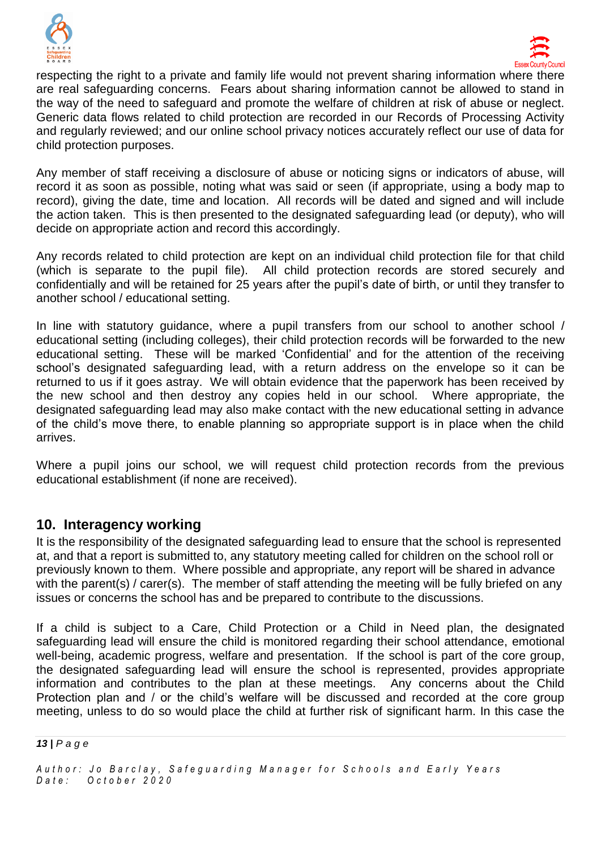



respecting the right to a private and family life would not prevent sharing information where there are real safeguarding concerns. Fears about sharing information cannot be allowed to stand in the way of the need to safeguard and promote the welfare of children at risk of abuse or neglect. Generic data flows related to child protection are recorded in our Records of Processing Activity and regularly reviewed; and our online school privacy notices accurately reflect our use of data for child protection purposes.

Any member of staff receiving a disclosure of abuse or noticing signs or indicators of abuse, will record it as soon as possible, noting what was said or seen (if appropriate, using a body map to record), giving the date, time and location. All records will be dated and signed and will include the action taken. This is then presented to the designated safeguarding lead (or deputy), who will decide on appropriate action and record this accordingly.

Any records related to child protection are kept on an individual child protection file for that child (which is separate to the pupil file). All child protection records are stored securely and confidentially and will be retained for 25 years after the pupil's date of birth, or until they transfer to another school / educational setting.

In line with statutory guidance, where a pupil transfers from our school to another school / educational setting (including colleges), their child protection records will be forwarded to the new educational setting. These will be marked 'Confidential' and for the attention of the receiving school's designated safeguarding lead, with a return address on the envelope so it can be returned to us if it goes astray. We will obtain evidence that the paperwork has been received by the new school and then destroy any copies held in our school. Where appropriate, the designated safeguarding lead may also make contact with the new educational setting in advance of the child's move there, to enable planning so appropriate support is in place when the child arrives.

Where a pupil joins our school, we will request child protection records from the previous educational establishment (if none are received).

# **10. Interagency working**

It is the responsibility of the designated safeguarding lead to ensure that the school is represented at, and that a report is submitted to, any statutory meeting called for children on the school roll or previously known to them. Where possible and appropriate, any report will be shared in advance with the parent(s) / carer(s). The member of staff attending the meeting will be fully briefed on any issues or concerns the school has and be prepared to contribute to the discussions.

If a child is subject to a Care, Child Protection or a Child in Need plan, the designated safeguarding lead will ensure the child is monitored regarding their school attendance, emotional well-being, academic progress, welfare and presentation. If the school is part of the core group, the designated safeguarding lead will ensure the school is represented, provides appropriate information and contributes to the plan at these meetings. Any concerns about the Child Protection plan and / or the child's welfare will be discussed and recorded at the core group meeting, unless to do so would place the child at further risk of significant harm. In this case the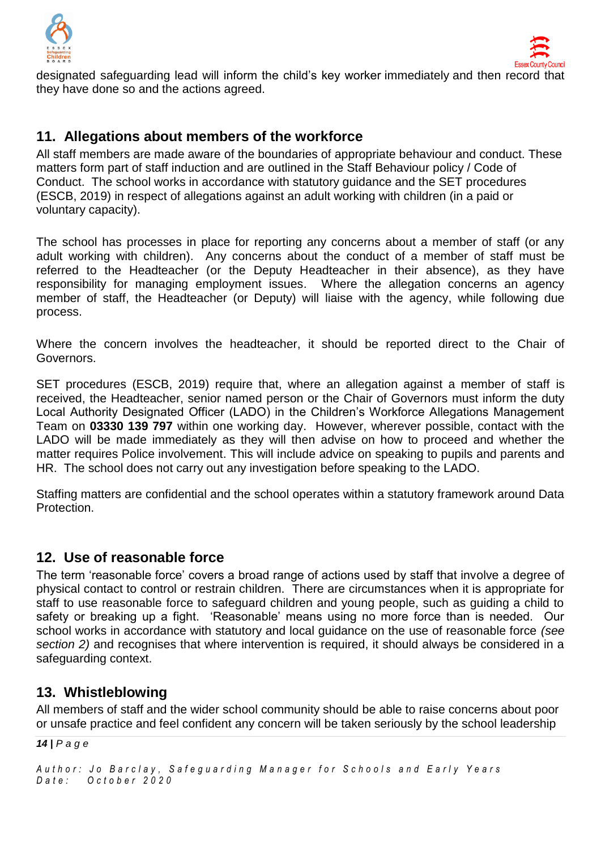



designated safeguarding lead will inform the child's key worker immediately and then record that they have done so and the actions agreed.

# **11. Allegations about members of the workforce**

All staff members are made aware of the boundaries of appropriate behaviour and conduct. These matters form part of staff induction and are outlined in the Staff Behaviour policy / Code of Conduct. The school works in accordance with statutory guidance and the SET procedures (ESCB, 2019) in respect of allegations against an adult working with children (in a paid or voluntary capacity).

The school has processes in place for reporting any concerns about a member of staff (or any adult working with children). Any concerns about the conduct of a member of staff must be referred to the Headteacher (or the Deputy Headteacher in their absence), as they have responsibility for managing employment issues. Where the allegation concerns an agency member of staff, the Headteacher (or Deputy) will liaise with the agency, while following due process.

Where the concern involves the headteacher, it should be reported direct to the Chair of Governors.

SET procedures (ESCB, 2019) require that, where an allegation against a member of staff is received, the Headteacher, senior named person or the Chair of Governors must inform the duty Local Authority Designated Officer (LADO) in the Children's Workforce Allegations Management Team on **03330 139 797** within one working day. However, wherever possible, contact with the LADO will be made immediately as they will then advise on how to proceed and whether the matter requires Police involvement. This will include advice on speaking to pupils and parents and HR. The school does not carry out any investigation before speaking to the LADO.

Staffing matters are confidential and the school operates within a statutory framework around Data Protection.

# **12. Use of reasonable force**

The term 'reasonable force' covers a broad range of actions used by staff that involve a degree of physical contact to control or restrain children. There are circumstances when it is appropriate for staff to use reasonable force to safeguard children and young people, such as guiding a child to safety or breaking up a fight. 'Reasonable' means using no more force than is needed. Our school works in accordance with statutory and local guidance on the use of reasonable force *(see section 2)* and recognises that where intervention is required, it should always be considered in a safeguarding context.

# **13. Whistleblowing**

All members of staff and the wider school community should be able to raise concerns about poor or unsafe practice and feel confident any concern will be taken seriously by the school leadership

*14 | P a g e*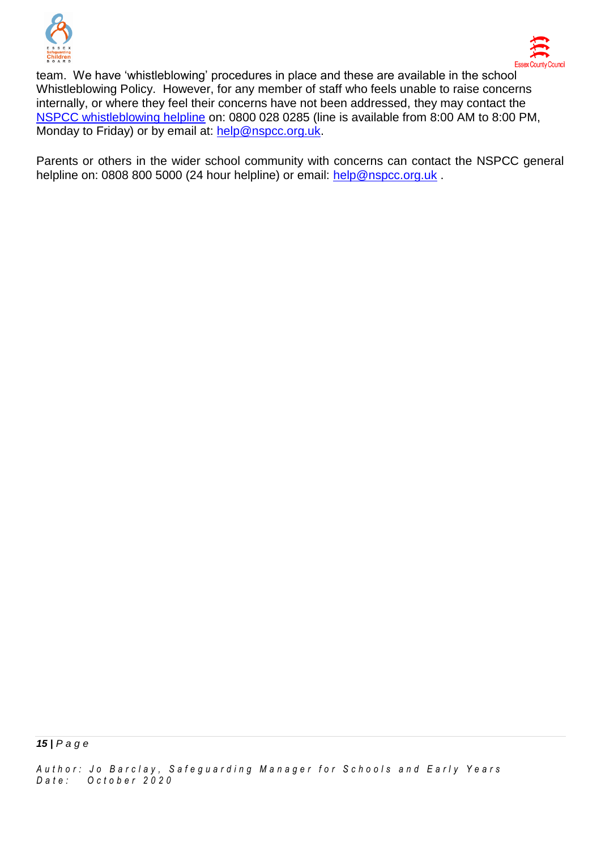



team. We have 'whistleblowing' procedures in place and these are available in the school Whistleblowing Policy. However, for any member of staff who feels unable to raise concerns internally, or where they feel their concerns have not been addressed, they may contact the [NSPCC whistleblowing helpline](https://www.nspcc.org.uk/what-you-can-do/report-abuse/dedicated-helplines/whistleblowing-advice-line/) on: 0800 028 0285 (line is available from 8:00 AM to 8:00 PM, Monday to Friday) or by email at: [help@nspcc.org.uk.](mailto:help@nspcc.org.uk)

Parents or others in the wider school community with concerns can contact the NSPCC general helpline on: 0808 800 5000 (24 hour helpline) or email: [help@nspcc.org.uk](mailto:help@nspcc.org.uk).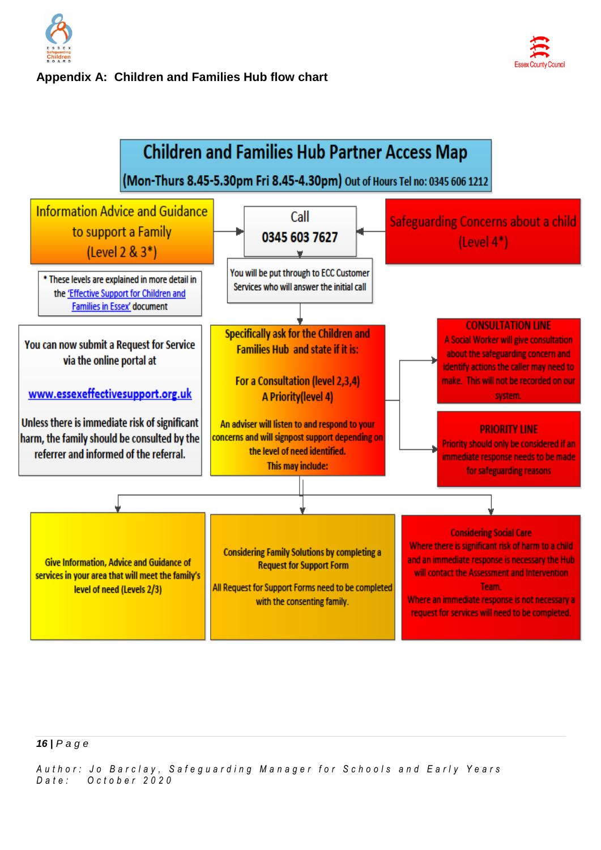

### **Appendix A: Children and Families Hub flow chart**





#### *16 | P a g e*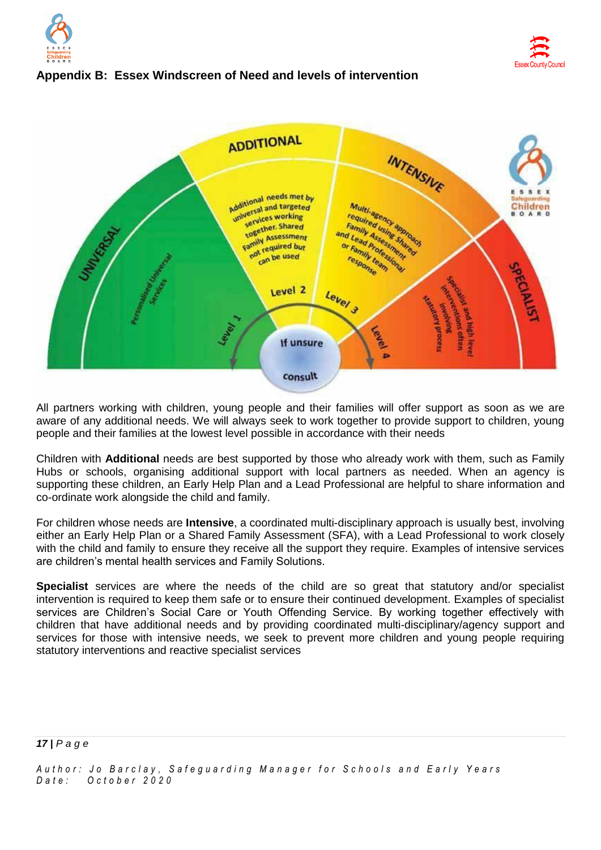



### **Appendix B: Essex Windscreen of Need and levels of intervention**



All partners working with children, young people and their families will offer support as soon as we are aware of any additional needs. We will always seek to work together to provide support to children, young people and their families at the lowest level possible in accordance with their needs

Children with **Additional** needs are best supported by those who already work with them, such as Family Hubs or schools, organising additional support with local partners as needed. When an agency is supporting these children, an Early Help Plan and a Lead Professional are helpful to share information and co-ordinate work alongside the child and family.

For children whose needs are **Intensive**, a coordinated multi-disciplinary approach is usually best, involving either an Early Help Plan or a Shared Family Assessment (SFA), with a Lead Professional to work closely with the child and family to ensure they receive all the support they require. Examples of intensive services are children's mental health services and Family Solutions.

**Specialist** services are where the needs of the child are so great that statutory and/or specialist intervention is required to keep them safe or to ensure their continued development. Examples of specialist services are Children's Social Care or Youth Offending Service. By working together effectively with children that have additional needs and by providing coordinated multi-disciplinary/agency support and services for those with intensive needs, we seek to prevent more children and young people requiring statutory interventions and reactive specialist services